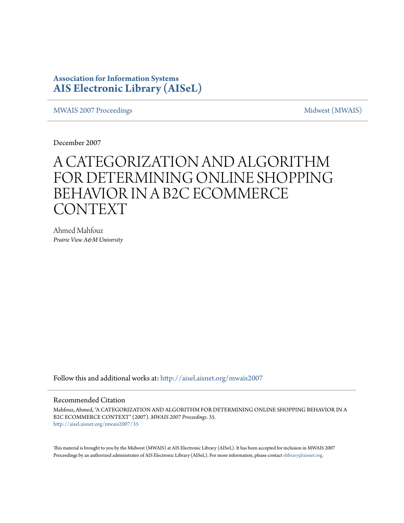### **Association for Information Systems [AIS Electronic Library \(AISeL\)](http://aisel.aisnet.org?utm_source=aisel.aisnet.org%2Fmwais2007%2F35&utm_medium=PDF&utm_campaign=PDFCoverPages)**

[MWAIS 2007 Proceedings](http://aisel.aisnet.org/mwais2007?utm_source=aisel.aisnet.org%2Fmwais2007%2F35&utm_medium=PDF&utm_campaign=PDFCoverPages) and the matrix of the [Midwest \(MWAIS\)](http://aisel.aisnet.org/mwais?utm_source=aisel.aisnet.org%2Fmwais2007%2F35&utm_medium=PDF&utm_campaign=PDFCoverPages)

December 2007

# A CATEGORIZATION AND ALGORITHM FOR DETERMINING ONLINE SHOPPING BEHAVIOR IN A B2C ECOMMERCE CONTEXT

Ahmed Mahfouz *Prairie View A&M University*

Follow this and additional works at: [http://aisel.aisnet.org/mwais2007](http://aisel.aisnet.org/mwais2007?utm_source=aisel.aisnet.org%2Fmwais2007%2F35&utm_medium=PDF&utm_campaign=PDFCoverPages)

#### Recommended Citation

Mahfouz, Ahmed, "A CATEGORIZATION AND ALGORITHM FOR DETERMINING ONLINE SHOPPING BEHAVIOR IN A B2C ECOMMERCE CONTEXT" (2007). *MWAIS 2007 Proceedings*. 35. [http://aisel.aisnet.org/mwais2007/35](http://aisel.aisnet.org/mwais2007/35?utm_source=aisel.aisnet.org%2Fmwais2007%2F35&utm_medium=PDF&utm_campaign=PDFCoverPages)

This material is brought to you by the Midwest (MWAIS) at AIS Electronic Library (AISeL). It has been accepted for inclusion in MWAIS 2007 Proceedings by an authorized administrator of AIS Electronic Library (AISeL). For more information, please contact [elibrary@aisnet.org](mailto:elibrary@aisnet.org%3E).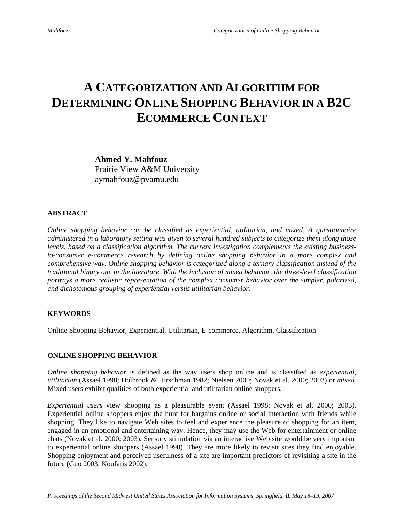## **A CATEGORIZATION AND ALGORITHM FOR DETERMINING ONLINE SHOPPING BEHAVIOR IN A B2C ECOMMERCE CONTEXT**

**Ahmed Y. Mahfouz**  Prairie View A&M University aymahfouz@pvamu.edu

#### **ABSTRACT**

*Online shopping behavior can be classified as experiential, utilitarian, and mixed. A questionnaire administered in a laboratory setting was given to several hundred subjects to categorize them along those levels, based on a classification algorithm. The current investigation complements the existing businessto-consumer e-commerce research by defining online shopping behavior in a more complex and comprehensive way. Online shopping behavior is categorized along a ternary classification instead of the traditional binary one in the literature. With the inclusion of mixed behavior, the three-level classification portrays a more realistic representation of the complex consumer behavior over the simpler, polarized, and dichotomous grouping of experiential versus utilitarian behavior.* 

#### **KEYWORDS**

Online Shopping Behavior, Experiential, Utilitarian, E-commerce, Algorithm, Classification

#### **ONLINE SHOPPING BEHAVIOR**

*Online shopping behavior* is defined as the way users shop online and is classified as *experiential*, *utilitarian* (Assael 1998; Holbrook & Hirschman 1982; Nielsen 2000; Novak et al. 2000; 2003) or *mixed*. Mixed users exhibit qualities of both experiential and utilitarian online shoppers.

*Experiential users* view shopping as a pleasurable event (Assael 1998; Novak et al. 2000; 2003). Experiential online shoppers enjoy the hunt for bargains online or social interaction with friends while shopping. They like to navigate Web sites to feel and experience the pleasure of shopping for an item, engaged in an emotional and entertaining way. Hence, they may use the Web for entertainment or online chats (Novak et al. 2000; 2003). Sensory stimulation via an interactive Web site would be very important to experiential online shoppers (Assael 1998). They are more likely to revisit sites they find enjoyable. Shopping enjoyment and perceived usefulness of a site are important predictors of revisiting a site in the future (Guo 2003; Koufaris 2002).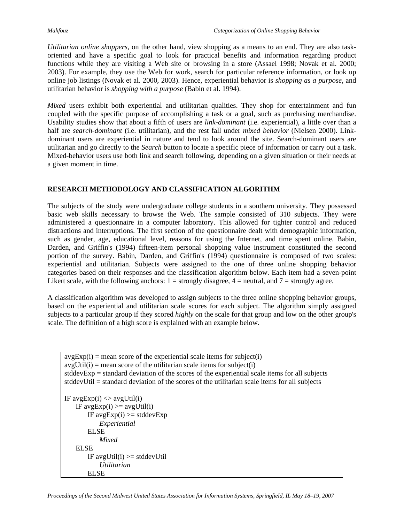*Utilitarian online shoppers*, on the other hand, view shopping as a means to an end. They are also taskoriented and have a specific goal to look for practical benefits and information regarding product functions while they are visiting a Web site or browsing in a store (Assael 1998; Novak et al. 2000; 2003). For example, they use the Web for work, search for particular reference information, or look up online job listings (Novak et al. 2000, 2003). Hence, experiential behavior is *shopping as a purpose*, and utilitarian behavior is *shopping with a purpose* (Babin et al. 1994).

*Mixed* users exhibit both experiential and utilitarian qualities. They shop for entertainment and fun coupled with the specific purpose of accomplishing a task or a goal, such as purchasing merchandise. Usability studies show that about a fifth of users are *link-dominant* (i.e. experiential), a little over than a half are *search-dominant* (i.e. utilitarian), and the rest fall under *mixed behavior* (Nielsen 2000). Linkdominant users are experiential in nature and tend to look around the site. Search-dominant users are utilitarian and go directly to the *Search* button to locate a specific piece of information or carry out a task. Mixed-behavior users use both link and search following, depending on a given situation or their needs at a given moment in time.

### **RESEARCH METHODOLOGY AND CLASSIFICATION ALGORITHM**

The subjects of the study were undergraduate college students in a southern university. They possessed basic web skills necessary to browse the Web. The sample consisted of 310 subjects. They were administered a questionnaire in a computer laboratory. This allowed for tighter control and reduced distractions and interruptions. The first section of the questionnaire dealt with demographic information, such as gender, age, educational level, reasons for using the Internet, and time spent online. Babin, Darden, and Griffin's (1994) fifteen-item personal shopping value instrument constituted the second portion of the survey. Babin, Darden, and Griffin's (1994) questionnaire is composed of two scales: experiential and utilitarian. Subjects were assigned to the one of three online shopping behavior categories based on their responses and the classification algorithm below. Each item had a seven-point Likert scale, with the following anchors:  $1 =$  strongly disagree,  $4 =$  neutral, and  $7 =$  strongly agree.

A classification algorithm was developed to assign subjects to the three online shopping behavior groups, based on the experiential and utilitarian scale scores for each subject. The algorithm simply assigned subjects to a particular group if they scored *highly* on the scale for that group and low on the other group's scale. The definition of a high score is explained with an example below.

```
avgExp(i) = mean score of the experiential scale items for subject(i)
avgUtil(i) = mean score of the utilitarian scale items for subject(i)
stddevExp = standard deviation of the scores of the experimental scale items for all subjectsstddevUtil = standard deviation of the scores of the utilitarian scale items for all subjectsIF avgExp(i) \leq avgUtil(i)IF avgExp(i) \geq avgUtil(i)IF avgExp(i) \geq stddevExpExperiential 
        ELSE 
            Mixed 
   ELSE 
        IF avgUtil(i) \geq stddevUtilUtilitarian 
       ELSE
```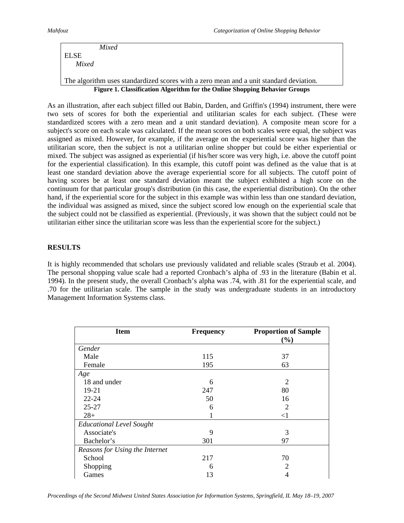|       | Mixed                                                                                  |
|-------|----------------------------------------------------------------------------------------|
| ELSE  |                                                                                        |
| Mixed |                                                                                        |
|       |                                                                                        |
|       | The algorithm uses standardized scores with a zero mean and a unit standard deviation. |

**Figure 1. Classification Algorithm for the Online Shopping Behavior Groups** 

As an illustration, after each subject filled out Babin, Darden, and Griffin's (1994) instrument, there were two sets of scores for both the experiential and utilitarian scales for each subject. (These were standardized scores with a zero mean and a unit standard deviation). A composite mean score for a subject's score on each scale was calculated. If the mean scores on both scales were equal, the subject was assigned as mixed. However, for example, if the average on the experiential score was higher than the utilitarian score, then the subject is not a utilitarian online shopper but could be either experiential or mixed. The subject was assigned as experiential (if his/her score was very high, i.e. above the cutoff point for the experiential classification). In this example, this cutoff point was defined as the value that is at least one standard deviation above the average experiential score for all subjects. The cutoff point of having scores be at least one standard deviation meant the subject exhibited a high score on the continuum for that particular group's distribution (in this case, the experiential distribution). On the other hand, if the experiential score for the subject in this example was within less than one standard deviation, the individual was assigned as mixed, since the subject scored low enough on the experiential scale that the subject could not be classified as experiential. (Previously, it was shown that the subject could not be utilitarian either since the utilitarian score was less than the experiential score for the subject.)

#### **RESULTS**

It is highly recommended that scholars use previously validated and reliable scales (Straub et al. 2004). The personal shopping value scale had a reported Cronbach's alpha of .93 in the literature (Babin et al. 1994). In the present study, the overall Cronbach's alpha was .74, with .81 for the experiential scale, and .70 for the utilitarian scale. The sample in the study was undergraduate students in an introductory Management Information Systems class.

| <b>Item</b>                     | <b>Frequency</b> | <b>Proportion of Sample</b><br>(%) |
|---------------------------------|------------------|------------------------------------|
| Gender                          |                  |                                    |
| Male                            | 115              | 37                                 |
| Female                          | 195              | 63                                 |
| Age                             |                  |                                    |
| 18 and under                    | 6                | $\overline{2}$                     |
| 19-21                           | 247              | 80                                 |
| $22 - 24$                       | 50               | 16                                 |
| $25 - 27$                       | 6                | $\overline{2}$                     |
| $28+$                           |                  | $<$ 1                              |
| <b>Educational Level Sought</b> |                  |                                    |
| Associate's                     | 9                | 3                                  |
| Bachelor's                      | 301              | 97                                 |
| Reasons for Using the Internet  |                  |                                    |
| School                          | 217              | 70                                 |
| Shopping                        | 6                | 2                                  |
| Games                           | 13               | 4                                  |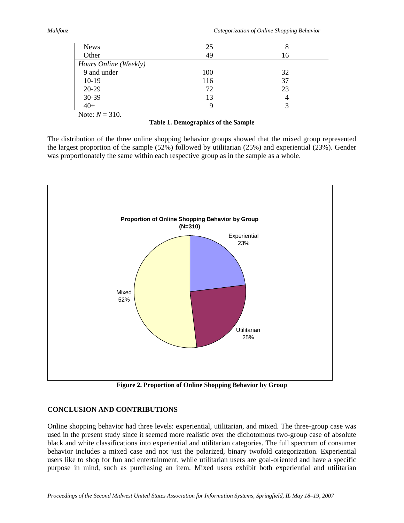| <b>News</b>           | 25  | 8              |  |  |
|-----------------------|-----|----------------|--|--|
| Other                 | 49  | 16             |  |  |
| Hours Online (Weekly) |     |                |  |  |
| 9 and under           | 100 | 32             |  |  |
| $10-19$               | 116 | 37             |  |  |
| 20-29                 | 72  | 23             |  |  |
| 30-39                 | 13  | $\overline{4}$ |  |  |
| $40+$                 |     |                |  |  |

Note:  $N = 310$ .

#### **Table 1. Demographics of the Sample**

The distribution of the three online shopping behavior groups showed that the mixed group represented the largest proportion of the sample (52%) followed by utilitarian (25%) and experiential (23%). Gender was proportionately the same within each respective group as in the sample as a whole.



**Figure 2. Proportion of Online Shopping Behavior by Group** 

### **CONCLUSION AND CONTRIBUTIONS**

Online shopping behavior had three levels: experiential, utilitarian, and mixed. The three-group case was used in the present study since it seemed more realistic over the dichotomous two-group case of absolute black and white classifications into experiential and utilitarian categories. The full spectrum of consumer behavior includes a mixed case and not just the polarized, binary twofold categorization. Experiential users like to shop for fun and entertainment, while utilitarian users are goal-oriented and have a specific purpose in mind, such as purchasing an item. Mixed users exhibit both experiential and utilitarian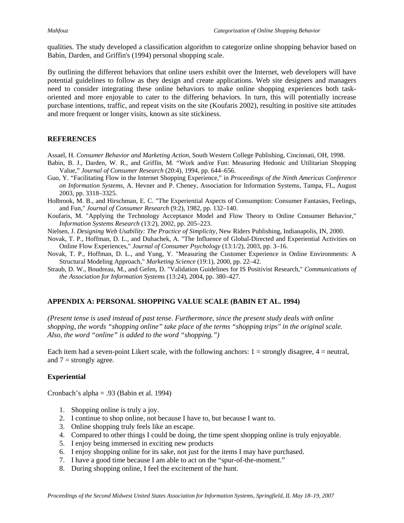qualities. The study developed a classification algorithm to categorize online shopping behavior based on Babin, Darden, and Griffin's (1994) personal shopping scale.

By outlining the different behaviors that online users exhibit over the Internet, web developers will have potential guidelines to follow as they design and create applications. Web site designers and managers need to consider integrating these online behaviors to make online shopping experiences both taskoriented and more enjoyable to cater to the differing behaviors. In turn, this will potentially increase purchase intentions, traffic, and repeat visits on the site (Koufaris 2002), resulting in positive site attitudes and more frequent or longer visits, known as site stickiness.

#### **REFERENCES**

Assael, H. *Consumer Behavior and Marketing Action*, South Western College Publishing, Cincinnati, OH, 1998.

- Babin, B. J., Darden, W. R., and Griffin, M. "Work and/or Fun: Measuring Hedonic and Utilitarian Shopping Value," *Journal of Consumer Research* (20:4), 1994, pp. 644–656.
- Guo, Y. "Facilitating Flow in the Internet Shopping Experience," in *Proceedings of the Ninth Americas Conference on Information Systems*, A. Hevner and P. Cheney, Association for Information Systems, Tampa, FL, August 2003, pp. 3318–3325.
- Holbrook, M. B., and Hirschman, E. C. "The Experiential Aspects of Consumption: Consumer Fantasies, Feelings, and Fun," *Journal of Consumer Research* (9:2), 1982, pp. 132–140.
- Koufaris, M. "Applying the Technology Acceptance Model and Flow Theory to Online Consumer Behavior," *Information Systems Research* (13:2), 2002, pp. 205–223.
- Nielsen, J. *Designing Web Usability: The Practice of Simplicity*, New Riders Publishing, Indianapolis, IN, 2000.
- Novak, T. P., Hoffman, D. L., and Duhachek, A. "The Influence of Global-Directed and Experiential Activities on Online Flow Experiences," *Journal of Consumer Psychology* (13:1/2), 2003, pp. 3–16.
- Novak, T. P., Hoffman, D. L., and Yung, Y. "Measuring the Customer Experience in Online Environments: A Structural Modeling Approach," *Marketing Science* (19:1), 2000, pp. 22–42.
- Straub, D. W., Boudreau, M., and Gefen, D. "Validation Guidelines for IS Positivist Research," *Communications of the Association for Information Systems* (13:24), 2004, pp. 380–427.

### **APPENDIX A: PERSONAL SHOPPING VALUE SCALE (BABIN ET AL. 1994)**

*(Present tense is used instead of past tense. Furthermore, since the present study deals with online shopping, the words "shopping online" take place of the terms "shopping trips" in the original scale. Also, the word "online" is added to the word "shopping.")* 

Each item had a seven-point Likert scale, with the following anchors:  $1 =$  strongly disagree,  $4 =$  neutral, and  $7 =$  strongly agree.

#### **Experiential**

Cronbach's alpha = .93 (Babin et al. 1994)

- 1. Shopping online is truly a joy.
- 2. I continue to shop online, not because I have to, but because I want to.
- 3. Online shopping truly feels like an escape.
- 4. Compared to other things I could be doing, the time spent shopping online is truly enjoyable.
- 5. I enjoy being immersed in exciting new products
- 6. I enjoy shopping online for its sake, not just for the items I may have purchased.
- 7. I have a good time because I am able to act on the "spur-of-the-moment."
- 8. During shopping online, I feel the excitement of the hunt.